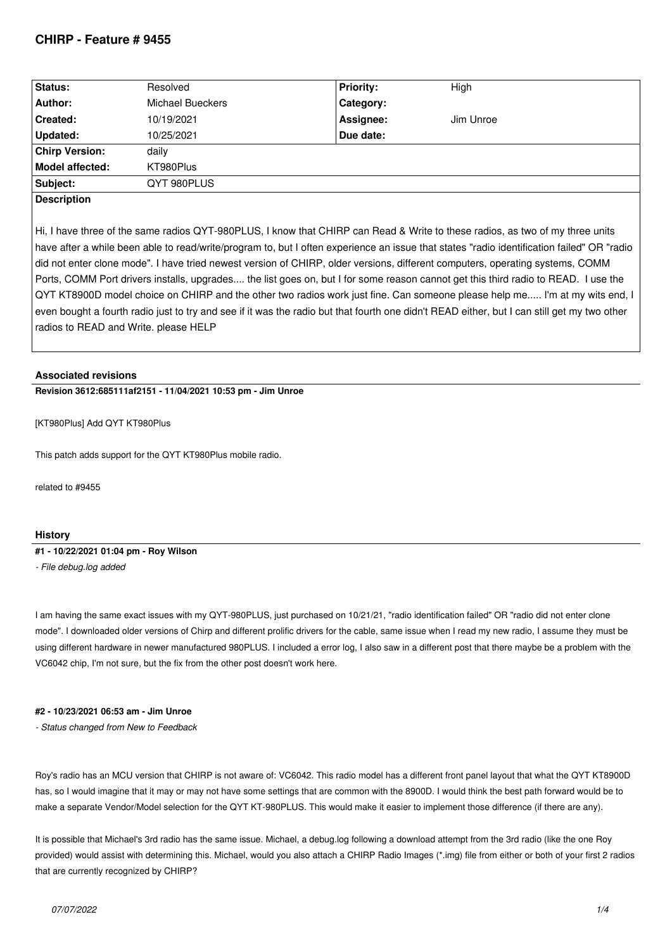## **CHIRP - Feature # 9455**

| Status:               | Resolved         | <b>Priority:</b> | High      |  |
|-----------------------|------------------|------------------|-----------|--|
| Author:               | Michael Bueckers | Category:        |           |  |
| <b>Created:</b>       | 10/19/2021       | Assignee:        | Jim Unroe |  |
| Updated:              | 10/25/2021       | Due date:        |           |  |
| <b>Chirp Version:</b> | daily            |                  |           |  |
| Model affected:       | KT980Plus        |                  |           |  |
| Subject:              | QYT 980PLUS      |                  |           |  |
| <b>Docorintion</b>    |                  |                  |           |  |

## **Description**

*Hi, I have three of the same radios QYT-980PLUS, I know that CHIRP can Read & Write to these radios, as two of my three units have after a while been able to read/write/program to, but I often experience an issue that states "radio identification failed" OR "radio did not enter clone mode". I have tried newest version of CHIRP, older versions, different computers, operating systems, COMM Ports, COMM Port drivers installs, upgrades.... the list goes on, but I for some reason cannot get this third radio to READ. I use the QYT KT8900D model choice on CHIRP and the other two radios work just fine. Can someone please help me..... I'm at my wits end, I even bought a fourth radio just to try and see if it was the radio but that fourth one didn't READ either, but I can still get my two other radios to READ and Write. please HELP*

## **Associated revisions**

**Revision 3612:685111af2151 - 11/04/2021 10:53 pm - Jim Unroe** 

*[KT980Plus] Add QYT KT980Plus*

*This patch adds support for the QYT KT980Plus mobile radio.*

*related to #9455*

## **History**

**#1 - 10/22/2021 01:04 pm - Roy Wilson**

*- File debug.log added*

*I am having the same exact issues with my QYT-980PLUS, just purchased on 10/21/21, "radio identification failed" OR "radio did not enter clone mode". I downloaded older versions of Chirp and different prolific drivers for the cable, same issue when I read my new radio, I assume they must be using different hardware in newer manufactured 980PLUS. I included a error log, I also saw in a different post that there maybe be a problem with the VC6042 chip, I'm not sure, but the fix from the other post doesn't work here.*

### **#2 - 10/23/2021 06:53 am - Jim Unroe**

*- Status changed from New to Feedback*

*Roy's radio has an MCU version that CHIRP is not aware of: VC6042. This radio model has a different front panel layout that what the QYT KT8900D has, so I would imagine that it may or may not have some settings that are common with the 8900D. I would think the best path forward would be to make a separate Vendor/Model selection for the QYT KT-980PLUS. This would make it easier to implement those difference (if there are any).*

*It is possible that Michael's 3rd radio has the same issue. Michael, a debug.log following a download attempt from the 3rd radio (like the one Roy provided) would assist with determining this. Michael, would you also attach a CHIRP Radio Images (\*.img) file from either or both of your first 2 radios that are currently recognized by CHIRP?*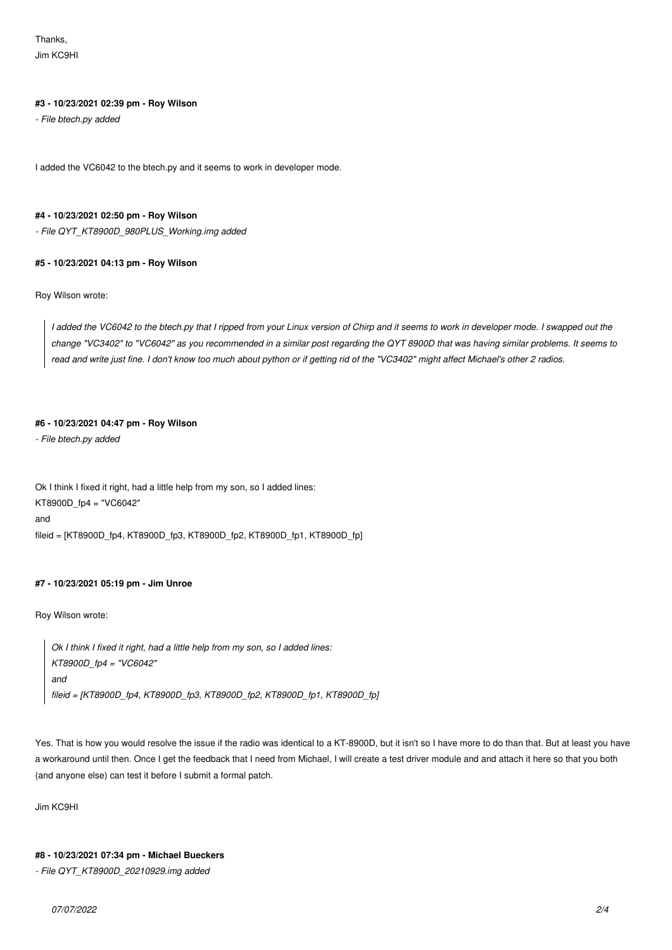*Thanks, Jim KC9HI*

### **#3 - 10/23/2021 02:39 pm - Roy Wilson**

*- File btech.py added*

*I added the VC6042 to the btech.py and it seems to work in developer mode.*

## **#4 - 10/23/2021 02:50 pm - Roy Wilson**

*- File QYT\_KT8900D\_980PLUS\_Working.img added*

### **#5 - 10/23/2021 04:13 pm - Roy Wilson**

*Roy Wilson wrote:*

*I added the VC6042 to the btech.py that I ripped from your Linux version of Chirp and it seems to work in developer mode. I swapped out the change "VC3402" to "VC6042" as you recommended in a similar post regarding the QYT 8900D that was having similar problems. It seems to read and write just fine. I don't know too much about python or if getting rid of the "VC3402" might affect Michael's other 2 radios.*

### **#6 - 10/23/2021 04:47 pm - Roy Wilson**

*- File btech.py added*

*Ok I think I fixed it right, had a little help from my son, so I added lines: KT8900D\_fp4 = "VC6042" and fileid = [KT8900D\_fp4, KT8900D\_fp3, KT8900D\_fp2, KT8900D\_fp1, KT8900D\_fp]*

## **#7 - 10/23/2021 05:19 pm - Jim Unroe**

*Roy Wilson wrote:*

*Ok I think I fixed it right, had a little help from my son, so I added lines: KT8900D\_fp4 = "VC6042" and fileid = [KT8900D\_fp4, KT8900D\_fp3, KT8900D\_fp2, KT8900D\_fp1, KT8900D\_fp]*

*Yes. That is how you would resolve the issue if the radio was identical to a KT-8900D, but it isn't so I have more to do than that. But at least you have a workaround until then. Once I get the feedback that I need from Michael, I will create a test driver module and and attach it here so that you both (and anyone else) can test it before I submit a formal patch.*

*Jim KC9HI*

### **#8 - 10/23/2021 07:34 pm - Michael Bueckers**

*- File QYT\_KT8900D\_20210929.img added*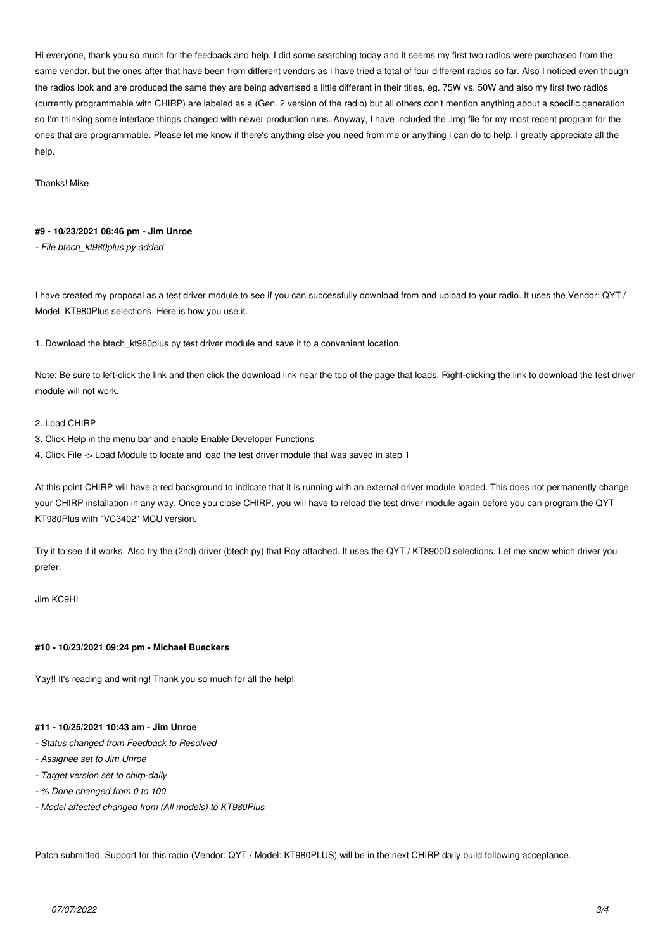*Hi everyone, thank you so much for the feedback and help. I did some searching today and it seems my first two radios were purchased from the same vendor, but the ones after that have been from different vendors as I have tried a total of four different radios so far. Also I noticed even though the radios look and are produced the same they are being advertised a little different in their titles, eg. 75W vs. 50W and also my first two radios (currently programmable with CHIRP) are labeled as a (Gen. 2 version of the radio) but all others don't mention anything about a specific generation* so I'm thinking some interface things changed with newer production runs. Anyway, I have included the .img file for my most recent program for the *ones that are programmable. Please let me know if there's anything else you need from me or anything I can do to help. I greatly appreciate all the help.*

*Thanks! Mike*

## **#9 - 10/23/2021 08:46 pm - Jim Unroe**

*- File btech\_kt980plus.py added*

*I have created my proposal as a test driver module to see if you can successfully download from and upload to your radio. It uses the Vendor: QYT / Model: KT980Plus selections. Here is how you use it.*

*1. Download the btech\_kt980plus.py test driver module and save it to a convenient location.*

*Note: Be sure to left-click the link and then click the download link near the top of the page that loads. Right-clicking the link to download the test driver module will not work.*

#### *2. Load CHIRP*

- *3. Click Help in the menu bar and enable Enable Developer Functions*
- *4. Click File -> Load Module to locate and load the test driver module that was saved in step 1*

*At this point CHIRP will have a red background to indicate that it is running with an external driver module loaded. This does not permanently change your CHIRP installation in any way. Once you close CHIRP, you will have to reload the test driver module again before you can program the QYT KT980Plus with "VC3402" MCU version.*

*Try it to see if it works. Also try the (2nd) driver (btech.py) that Roy attached. It uses the QYT / KT8900D selections. Let me know which driver you prefer.*

*Jim KC9HI*

## **#10 - 10/23/2021 09:24 pm - Michael Bueckers**

*Yay!! It's reading and writing! Thank you so much for all the help!*

## **#11 - 10/25/2021 10:43 am - Jim Unroe**

- *Status changed from Feedback to Resolved*
- *Assignee set to Jim Unroe*
- *Target version set to chirp-daily*
- *% Done changed from 0 to 100*
- *Model affected changed from (All models) to KT980Plus*

*Patch submitted. Support for this radio (Vendor: QYT / Model: KT980PLUS) will be in the next CHIRP daily build following acceptance.*